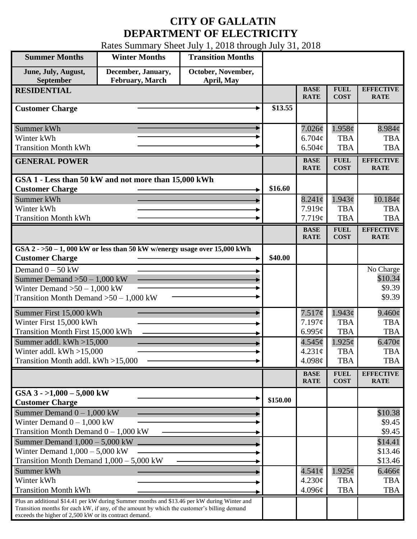## **CITY OF GALLATIN DEPARTMENT OF ELECTRICITY**

Rates Summary Sheet July 1, 2018 through July 31, 2018

| <b>Summer Months</b>                                                                                                                                                                                                                                 | <b>Winter Months</b>                                                        | <b>Transition Months</b>         |          |                            |                            |                                 |
|------------------------------------------------------------------------------------------------------------------------------------------------------------------------------------------------------------------------------------------------------|-----------------------------------------------------------------------------|----------------------------------|----------|----------------------------|----------------------------|---------------------------------|
| June, July, August,<br>September                                                                                                                                                                                                                     | December, January,<br>February, March                                       | October, November,<br>April, May |          |                            |                            |                                 |
| <b>RESIDENTIAL</b>                                                                                                                                                                                                                                   |                                                                             |                                  |          | <b>BASE</b><br><b>RATE</b> | <b>FUEL</b><br><b>COST</b> | <b>EFFECTIVE</b><br><b>RATE</b> |
| <b>Customer Charge</b>                                                                                                                                                                                                                               |                                                                             |                                  | \$13.55  |                            |                            |                                 |
| Summer kWh                                                                                                                                                                                                                                           |                                                                             |                                  |          | $7.026\phi$                | 1.958¢                     | 8.984c                          |
| Winter kWh                                                                                                                                                                                                                                           |                                                                             |                                  |          | $6.704\phi$<br>6.504c      | <b>TBA</b>                 | <b>TBA</b>                      |
| <b>Transition Month kWh</b>                                                                                                                                                                                                                          |                                                                             |                                  |          |                            | <b>TBA</b>                 | <b>TBA</b>                      |
| <b>GENERAL POWER</b>                                                                                                                                                                                                                                 |                                                                             |                                  |          | <b>BASE</b><br><b>RATE</b> | <b>FUEL</b><br><b>COST</b> | <b>EFFECTIVE</b><br><b>RATE</b> |
|                                                                                                                                                                                                                                                      | GSA 1 - Less than 50 kW and not more than 15,000 kWh                        |                                  |          |                            |                            |                                 |
| <b>Customer Charge</b>                                                                                                                                                                                                                               |                                                                             |                                  | \$16.60  |                            |                            |                                 |
| Summer kWh<br>Winter kWh                                                                                                                                                                                                                             |                                                                             |                                  |          | $8.241\phi$<br>7.919¢      | $1.943\phi$<br><b>TBA</b>  | 10.184¢<br><b>TBA</b>           |
| <b>Transition Month kWh</b>                                                                                                                                                                                                                          |                                                                             |                                  |          | 7.719¢                     | <b>TBA</b>                 | <b>TBA</b>                      |
|                                                                                                                                                                                                                                                      |                                                                             |                                  |          | <b>BASE</b>                | <b>FUEL</b>                | <b>EFFECTIVE</b>                |
|                                                                                                                                                                                                                                                      |                                                                             |                                  |          | <b>RATE</b>                | <b>COST</b>                | <b>RATE</b>                     |
| <b>Customer Charge</b>                                                                                                                                                                                                                               | GSA $2 - 50 - 1$ , 000 kW or less than 50 kW w/energy usage over 15,000 kWh |                                  | \$40.00  |                            |                            |                                 |
| Demand $0 - 50$ kW                                                                                                                                                                                                                                   |                                                                             |                                  |          |                            |                            | No Charge                       |
| Summer Demand $>50 - 1,000$ kW                                                                                                                                                                                                                       |                                                                             |                                  |          |                            |                            | \$10.34                         |
| Winter Demand $>50-1,000$ kW                                                                                                                                                                                                                         |                                                                             |                                  |          |                            |                            | \$9.39                          |
| Transition Month Demand $>50-1,000$ kW                                                                                                                                                                                                               |                                                                             |                                  |          |                            |                            | \$9.39                          |
| Summer First 15,000 kWh                                                                                                                                                                                                                              |                                                                             |                                  |          | 7.517¢                     | $1.943\phi$                | $9.460\phi$                     |
| Winter First 15,000 kWh                                                                                                                                                                                                                              |                                                                             |                                  |          | 7.197¢                     | <b>TBA</b>                 | <b>TBA</b>                      |
| Transition Month First 15,000 kWh                                                                                                                                                                                                                    |                                                                             |                                  |          | 6.995 $\mathfrak{c}$       | <b>TBA</b>                 | <b>TBA</b>                      |
| Summer addl. $kWh > 15,000$                                                                                                                                                                                                                          |                                                                             |                                  |          | 4.545¢                     | $1.925\phi$                | $6.470\phi$                     |
| Winter addl. $kWh > 15,000$                                                                                                                                                                                                                          |                                                                             |                                  |          | $4.231\text{¢}$            | <b>TBA</b>                 | <b>TBA</b>                      |
| Transition Month addl. kWh >15,000                                                                                                                                                                                                                   |                                                                             |                                  |          | 4.098 $\phi$               | <b>TBA</b>                 | <b>TBA</b>                      |
|                                                                                                                                                                                                                                                      |                                                                             |                                  |          | <b>BASE</b><br><b>RATE</b> | <b>FUEL</b><br><b>COST</b> | <b>EFFECTIVE</b><br><b>RATE</b> |
| GSA $3 - 1,000 - 5,000$ kW<br><b>Customer Charge</b>                                                                                                                                                                                                 |                                                                             |                                  | \$150.00 |                            |                            |                                 |
| Summer Demand $0 - 1,000$ kW                                                                                                                                                                                                                         |                                                                             |                                  |          |                            |                            | \$10.38                         |
| Winter Demand $0 - 1,000$ kW                                                                                                                                                                                                                         |                                                                             |                                  |          |                            |                            | \$9.45                          |
| Transition Month Demand $0 - 1,000$ kW                                                                                                                                                                                                               |                                                                             |                                  |          |                            |                            | \$9.45                          |
| Summer Demand $1,000 - 5,000$ kW                                                                                                                                                                                                                     |                                                                             |                                  |          |                            |                            | \$14.41                         |
| Winter Demand $1,000 - 5,000$ kW                                                                                                                                                                                                                     |                                                                             |                                  |          |                            |                            | \$13.46                         |
| Transition Month Demand $1,000 - 5,000$ kW                                                                                                                                                                                                           |                                                                             |                                  |          |                            |                            | \$13.46                         |
| Summer kWh                                                                                                                                                                                                                                           |                                                                             |                                  |          | $4.541\phi$                | $1.925\phi$                | $6.466\phi$                     |
| Winter kWh                                                                                                                                                                                                                                           |                                                                             |                                  |          | 4.230¢                     | <b>TBA</b>                 | <b>TBA</b>                      |
| <b>Transition Month kWh</b>                                                                                                                                                                                                                          |                                                                             |                                  |          | 4.096¢                     | <b>TBA</b>                 | <b>TBA</b>                      |
| Plus an additional \$14.41 per kW during Summer months and \$13.46 per kW during Winter and<br>Transition months for each kW, if any, of the amount by which the customer's billing demand<br>exceeds the higher of 2,500 kW or its contract demand. |                                                                             |                                  |          |                            |                            |                                 |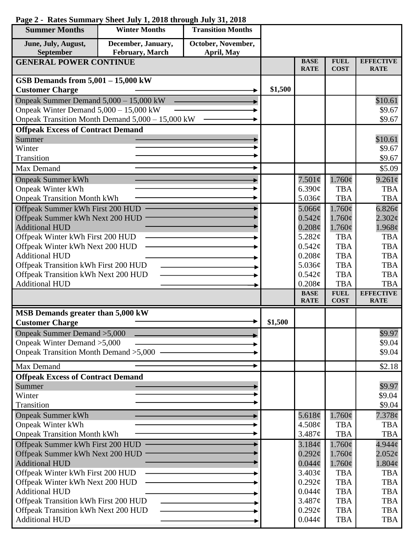| <b>Summer Months</b>                                                | <b>Winter Months</b>                             | <b>Transition Months</b> |         |                            |                            |                                 |
|---------------------------------------------------------------------|--------------------------------------------------|--------------------------|---------|----------------------------|----------------------------|---------------------------------|
| June, July, August,                                                 | December, January,                               | October, November,       |         |                            |                            |                                 |
| September                                                           | <b>February</b> , March                          | April, May               |         |                            |                            |                                 |
| <b>GENERAL POWER CONTINUE</b>                                       |                                                  |                          |         | <b>BASE</b><br><b>RATE</b> | <b>FUEL</b><br><b>COST</b> | <b>EFFECTIVE</b><br><b>RATE</b> |
| GSB Demands from 5,001 - 15,000 kW                                  |                                                  |                          |         |                            |                            |                                 |
| <b>Customer Charge</b>                                              |                                                  |                          | \$1,500 |                            |                            |                                 |
| Onpeak Summer Demand $5,000 - 15,000$ kW                            |                                                  |                          |         |                            |                            | \$10.61                         |
| Onpeak Winter Demand $5,000 - 15,000$ kW                            |                                                  |                          |         |                            |                            | \$9.67                          |
|                                                                     | Onpeak Transition Month Demand 5,000 - 15,000 kW |                          |         |                            |                            | \$9.67                          |
| <b>Offpeak Excess of Contract Demand</b>                            |                                                  |                          |         |                            |                            |                                 |
| Summer                                                              |                                                  |                          |         |                            |                            | \$10.61                         |
| Winter<br>Transition                                                |                                                  |                          |         |                            |                            | \$9.67<br>\$9.67                |
|                                                                     |                                                  |                          |         |                            |                            |                                 |
| Max Demand                                                          |                                                  |                          |         |                            |                            | \$5.09                          |
| <b>Onpeak Summer kWh</b>                                            |                                                  |                          |         | $7.501\phi$                | $1.760\phi$                | $9.261\phi$                     |
| <b>Onpeak Winter kWh</b>                                            |                                                  |                          |         | 6.390¢                     | <b>TBA</b><br><b>TBA</b>   | <b>TBA</b><br><b>TBA</b>        |
| <b>Onpeak Transition Month kWh</b>                                  |                                                  |                          |         | 5.036¢                     |                            |                                 |
| Offpeak Summer kWh First 200 HUD<br>Offpeak Summer kWh Next 200 HUD |                                                  |                          |         | 5.066¢<br>$0.542\epsilon$  | $1.760\phi$<br>$1.760\phi$ | 6.826c<br>2.302¢                |
| <b>Additional HUD</b>                                               |                                                  |                          |         | $0.208\phi$                | $1.760\phi$                | 1.968¢                          |
| Offpeak Winter kWh First 200 HUD                                    |                                                  |                          |         | 5.282¢                     | <b>TBA</b>                 | <b>TBA</b>                      |
| Offpeak Winter kWh Next 200 HUD                                     |                                                  |                          |         | $0.542\mathcal{C}$         | <b>TBA</b>                 | <b>TBA</b>                      |
| <b>Additional HUD</b>                                               |                                                  |                          |         | 0.208¢                     | <b>TBA</b>                 | <b>TBA</b>                      |
| Offpeak Transition kWh First 200 HUD                                |                                                  |                          |         | 5.036¢                     | <b>TBA</b>                 | <b>TBA</b>                      |
| Offpeak Transition kWh Next 200 HUD                                 |                                                  |                          |         | 0.542¢                     | <b>TBA</b>                 | <b>TBA</b>                      |
| <b>Additional HUD</b>                                               |                                                  |                          |         | 0.208c                     | <b>TBA</b>                 | <b>TBA</b>                      |
|                                                                     |                                                  |                          |         | <b>BASE</b><br><b>RATE</b> | <b>FUEL</b><br><b>COST</b> | <b>EFFECTIVE</b><br><b>RATE</b> |
| MSB Demands greater than 5,000 kW                                   |                                                  |                          |         |                            |                            |                                 |
| <b>Customer Charge</b>                                              |                                                  |                          | \$1,500 |                            |                            |                                 |
| Onpeak Summer Demand > 5,000                                        |                                                  |                          |         |                            |                            | \$9.97                          |
| Onpeak Winter Demand > 5,000                                        |                                                  |                          |         |                            |                            | \$9.04                          |
| Onpeak Transition Month Demand > 5,000                              |                                                  |                          |         |                            |                            | \$9.04                          |
| Max Demand                                                          |                                                  |                          |         |                            |                            | \$2.18                          |
| <b>Offpeak Excess of Contract Demand</b>                            |                                                  |                          |         |                            |                            |                                 |
| Summer                                                              |                                                  |                          |         |                            |                            | \$9.97                          |
| Winter                                                              |                                                  |                          |         |                            |                            | \$9.04                          |
| Transition                                                          |                                                  |                          |         |                            |                            | \$9.04                          |
| <b>Onpeak Summer kWh</b>                                            |                                                  |                          |         | 5.618 $\phi$               | $1.760\phi$                | $7.378\phi$                     |
| <b>Onpeak Winter kWh</b>                                            |                                                  |                          |         | 4.508¢                     | <b>TBA</b>                 | <b>TBA</b>                      |
| <b>Onpeak Transition Month kWh</b>                                  |                                                  |                          |         | 3.487¢                     | <b>TBA</b>                 | <b>TBA</b>                      |
| Offpeak Summer kWh First 200 HUD                                    |                                                  |                          |         | 3.184¢                     | $1.760\phi$                | 4.944c                          |
| Offpeak Summer kWh Next 200 HUD                                     |                                                  |                          |         | $0.292\ell$                | $1.760\phi$                | 2.052¢                          |
| <b>Additional HUD</b>                                               |                                                  |                          |         | $0.044\phi$                | $1.760\phi$                | $1.804\phi$                     |
| Offpeak Winter kWh First 200 HUD                                    |                                                  |                          |         | 3.403¢                     | <b>TBA</b>                 | <b>TBA</b>                      |
| Offpeak Winter kWh Next 200 HUD<br><b>Additional HUD</b>            |                                                  |                          |         | $0.292\mathcal{C}$         | <b>TBA</b><br><b>TBA</b>   | <b>TBA</b><br><b>TBA</b>        |
| Offpeak Transition kWh First 200 HUD                                |                                                  |                          |         | $0.044\phi$<br>3.487¢      | <b>TBA</b>                 | <b>TBA</b>                      |
| Offpeak Transition kWh Next 200 HUD                                 |                                                  |                          |         | $0.292\ell$                | <b>TBA</b>                 | <b>TBA</b>                      |
| <b>Additional HUD</b>                                               |                                                  |                          |         | $0.044\phi$                | <b>TBA</b>                 | <b>TBA</b>                      |
|                                                                     |                                                  |                          |         |                            |                            |                                 |

## **Page 2 - Rates Summary Sheet July 1, 2018 through July 31, 2018**